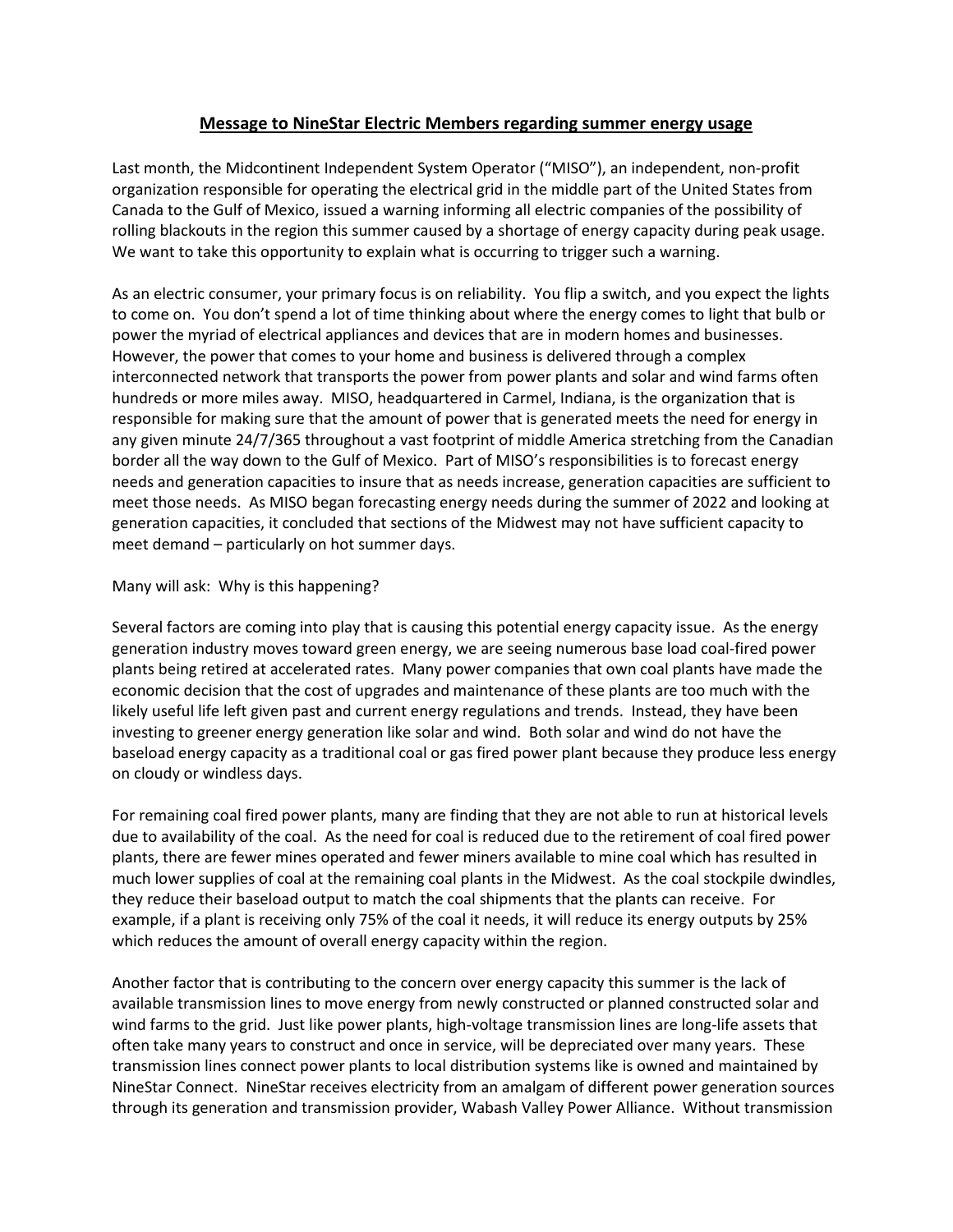## **Message to NineStar Electric Members regarding summer energy usage**

Last month, the Midcontinent Independent System Operator ("MISO"), an independent, non-profit organization responsible for operating the electrical grid in the middle part of the United States from Canada to the Gulf of Mexico, issued a warning informing all electric companies of the possibility of rolling blackouts in the region this summer caused by a shortage of energy capacity during peak usage. We want to take this opportunity to explain what is occurring to trigger such a warning.

As an electric consumer, your primary focus is on reliability. You flip a switch, and you expect the lights to come on. You don't spend a lot of time thinking about where the energy comes to light that bulb or power the myriad of electrical appliances and devices that are in modern homes and businesses. However, the power that comes to your home and business is delivered through a complex interconnected network that transports the power from power plants and solar and wind farms often hundreds or more miles away. MISO, headquartered in Carmel, Indiana, is the organization that is responsible for making sure that the amount of power that is generated meets the need for energy in any given minute 24/7/365 throughout a vast footprint of middle America stretching from the Canadian border all the way down to the Gulf of Mexico. Part of MISO's responsibilities is to forecast energy needs and generation capacities to insure that as needs increase, generation capacities are sufficient to meet those needs. As MISO began forecasting energy needs during the summer of 2022 and looking at generation capacities, it concluded that sections of the Midwest may not have sufficient capacity to meet demand – particularly on hot summer days.

## Many will ask: Why is this happening?

Several factors are coming into play that is causing this potential energy capacity issue. As the energy generation industry moves toward green energy, we are seeing numerous base load coal-fired power plants being retired at accelerated rates. Many power companies that own coal plants have made the economic decision that the cost of upgrades and maintenance of these plants are too much with the likely useful life left given past and current energy regulations and trends. Instead, they have been investing to greener energy generation like solar and wind. Both solar and wind do not have the baseload energy capacity as a traditional coal or gas fired power plant because they produce less energy on cloudy or windless days.

For remaining coal fired power plants, many are finding that they are not able to run at historical levels due to availability of the coal. As the need for coal is reduced due to the retirement of coal fired power plants, there are fewer mines operated and fewer miners available to mine coal which has resulted in much lower supplies of coal at the remaining coal plants in the Midwest. As the coal stockpile dwindles, they reduce their baseload output to match the coal shipments that the plants can receive. For example, if a plant is receiving only 75% of the coal it needs, it will reduce its energy outputs by 25% which reduces the amount of overall energy capacity within the region.

Another factor that is contributing to the concern over energy capacity this summer is the lack of available transmission lines to move energy from newly constructed or planned constructed solar and wind farms to the grid. Just like power plants, high-voltage transmission lines are long-life assets that often take many years to construct and once in service, will be depreciated over many years. These transmission lines connect power plants to local distribution systems like is owned and maintained by NineStar Connect. NineStar receives electricity from an amalgam of different power generation sources through its generation and transmission provider, Wabash Valley Power Alliance. Without transmission